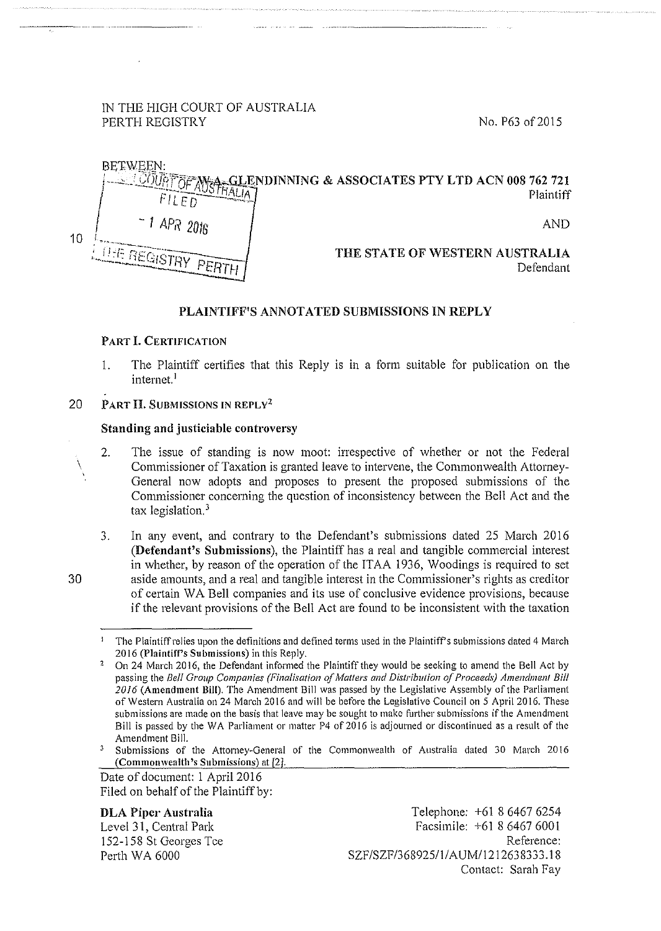# IN THE HIGH COURT OF AUSTRALIA PERTH REGISTRY No. P63 of 2015



## PLAINTIFF'S ANNOTATED SUBMISSIONS IN REPLY

## PART l. CERTIFICATION

- I. The Plaintiff certifies that this Reply is in a form suitable for publication on the internet.<sup>1</sup>
- 20 PART II. SUBMISSIONS IN REPLY<sup>2</sup>

## Standing and justiciable controversy

- 2. The issue of standing is now moot: irrespective of whether or not the Federal Commissioner of Taxation is granted leave to intervene, the Commonwealth Attorney-General now adopts and proposes to present the proposed submissions of the Commissioner concerning the question of inconsistency between the Bell Act and the tax legislation.<sup>3</sup>
- 3. In any event, and contrary to the Defendant's submissions dated 25 March 2016 (Defendant's Submissions), the Plaintiff has a real and tangible commercial interest in whether, by reason of the operation of the ITAA 1936, Woodings is required to set aside amounts, and a real and tangible interest in the Commissioner's rights as creditor of certain W A Bell companies and its use of conclusive evidence provisions, because if the relevant provisions of the Bell Act are found to be inconsistent with the taxation

Date of document: 1 April 2016 Filed on behalf of the Plaintiff by:

DLA Piper Australia Level 31, Central Park

152-158 St Georges Tee Perth WA 6000

30

\

<sup>1</sup> The Plaintiff relies upon the definitions and defined terms used in the Plaintiffs submissions dated 4 March 2016 (Plaintiff's Submissions) in this Reply.

<sup>&</sup>lt;sup>2</sup> On 24 March 2016, the Defendant informed the Plaintiff they would be seeking to amend the Bell Act by passing the *Bell Group Companies (Finalisation of Matters and Distribution of Proceeds) Amendment Bill 2016* (Amendment Bill). The Amendment Bill was passed by the Legislative Assembly of the Parliament of Western Australia on 24 March 2016 and will be before the Legislative Council on 5 April 2016. These **submissions are made on the basis that leave may be sought to make further submissions if the Amendment**  Bill is passed by the WA Parliament or matter P4 of 2016 is adjourned or discontinued as a result of the Amendment Bill.<br><sup>3</sup> Submissions of the Attomey-General of the Commonwealth of Australia dated 30 March 2016

<sup>(</sup>Commonwealth's Submissions) at [2].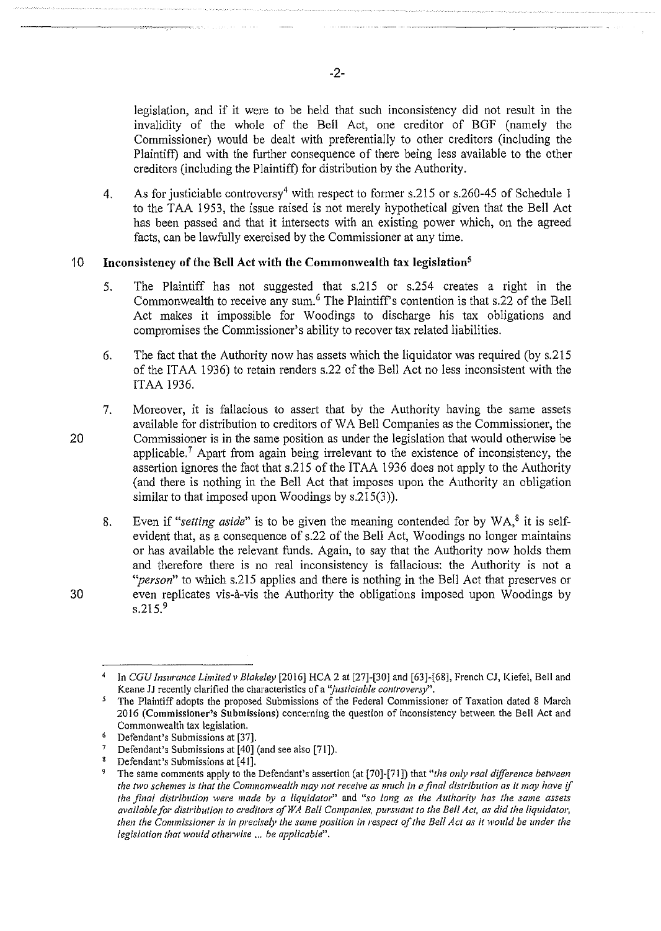legislation, and if it were to be held that such inconsistency did not result in the invalidity of the whole of the Bell Act, one creditor of BGF (namely the Commissioner) would be dealt with preferentially to other creditors (including the Plaintiff) and with the further consequence of there being less available to the other creditors (including the Plaintiff) for distribution by the Authority.

·---· ------ -----------~--~-

4. As for justiciable controversy<sup>4</sup> with respect to former s.215 or s.260-45 of Schedule 1 to the TAA 1953, the issue raised is not merely hypothetical given that the Bell Act has been passed and that it intersects with an existing power which, on the agreed facts, can be lawfully exercised by the Commissioner at any time.

## 10 **Inconsistency of the Bell Act with the Commonwealth tax legislation5**

- 5. The Plaintiff has not suggested that s.215 or s.254 creates a right in the Commonwealth to receive any sum.6 The Plaintiff's contention is that s.22 of the Bell Act makes it impossible for Woodings to discharge his tax obligations and compromises the Commissioner's ability to recover tax related liabilities.
- 6. The fact that the Authority now has assets which the liquidator was required (by s.215 of the IT AA 1936) to retain renders s.22 of the Bell Act no less inconsistent with the ITAA 1936.
- 7. Moreover, it is fallacious to assert that by the Authority having the same assets available for distribution to creditors of WA Bell Companies as the Commissioner, the Commissioner is in the same position as under the legislation that would otherwise be applicable.<sup>7</sup> Apart from again being irrelevant to the existence of inconsistency, the assertion ignores the fact that s.215 of the IT AA 1936 does not apply to the Authority (and there is nothing in the Bell Act that imposes upon the Authority an obligation similar to that imposed upon Woodings by s.215(3)).
	- 8. Even if "setting aside" is to be given the meaning contended for by WA,<sup>8</sup> it is selfevident that, as a consequence of s.22 of the Bell Act, Woodings no longer maintains or has available the relevant funds. Again, to say that the Authority now holds them and therefore there is no real inconsistency is fallacious: the Authority is not a *"person"* to which s.215 applies and there is nothing in the Bell Act that preserves or even replicates vis-a-vis the Authority the obligations imposed upon Woodings by s.215.<sup>9</sup>

20

30

-2-

In *CGU Insurance Limited v Blakeley* [2016] HCA 2 at [27]-[30] and [63]-[68], French CJ, Kiefel, Bell and **Keane JJ recently clarified the characteristics of a** *'justiciab/e controversy',.* 

<sup>&#</sup>x27; The Plaintiff adopts the proposed Submissions of the Federal Commissioner of Taxation dated 8 March **2016 (Commissioner's Submissions) concerning the question of inconsistency between the Bell Act and**  Commonwealth tax legislation.<br>
<sup>6</sup> Defendant's Submissions at [37].<br>
<sup>7</sup> Defendant's Submissions at [40] (and see also [71]).

<sup>&</sup>lt;sup>8</sup> Defendant's Submissions at [41].

<sup>9</sup> The same comments apply to the Defendant's assertion (at (70]-[71]) that *"the only real difference between the two schemes is that the Commonwealth may not receive as much in a final distribution as it may have* **if**  *the final distribution were made* **by** *a liquidator"* **and** *"so long as the Authority has the same assets available for distribution to creditors ofWA Bell Companies, pursuant to the Bell Act, as did the liquidator, then the Commissioner is in precisely the same position in respect of the Bell Act as it would be under the legislation that would otherwise ... be applicable".*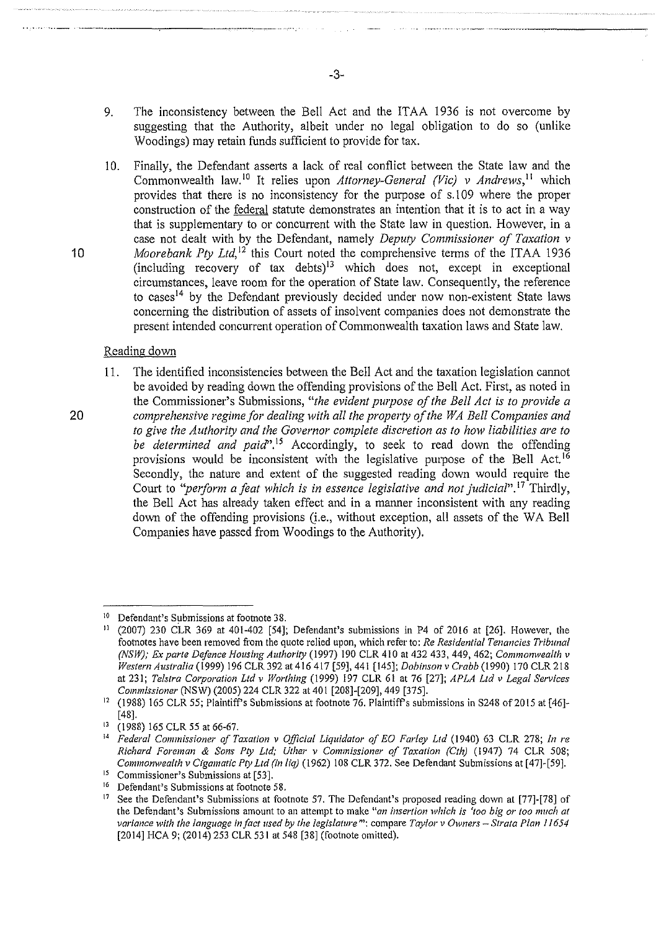- 9. The inconsistency between the Bell Act and the ITAA 1936 is not overcome by suggesting that the Authority, albeit under no legal obligation to do so (unlike Woodings) may retain funds sufficient to provide for tax.
- 10. Finally, the Defendant asserts a lack of real conflict between the State law and the Commonwealth law.<sup>10</sup> It relies upon *Attorney-General (Vic) v Andrews*,<sup>11</sup> which provides that there is no inconsistency for the purpose of s.l 09 where the proper construction of the federal statute demonstrates an intention that it is to act in a way that is supplementary to or concurrent with the State law in question. However, in a case not dealt with by the Defendant, namely *Deputy Commissioner of Taxation v*  10 *Moorebank Pty Ltd*,<sup>12</sup> this Court noted the comprehensive terms of the ITAA 1936 (including recovery of tax debts)<sup> $13$ </sup> which does not, except in exceptional circumstances, leave room for the operation of State law. Consequently, the reference to cases<sup>14</sup> by the Defendant previously decided under now non-existent State laws concerning the distribution of assets of insolvent companies does not demonstrate the present intended concurrent operation of Commonwealth taxation laws and State law.

#### Reading down

11. The identified inconsistencies between the Bell Act and the taxation legislation cannot be avoided by reading down the offending provisions of the Bell Act. First, as noted in the Commissioner's Submissions, *"the evident pwpose of the Bell Act is to provide a*  20 *comprehensive regime/or dealing with all the property of the WA Bell Companies and to give the Authority and the Governor complete discretion as to how liabilities are to be determined and paid*".<sup>15</sup> Accordingly, to seek to read down the offending provisions would be inconsistent with the legislative purpose of the Bell Act.<sup>16</sup> Secondly, the nature and extent of the suggested reading down would require the Court to *"perform a feat which is in essence legislative and not judicial*".<sup>17</sup> Thirdly, the Bell Act has already taken effect and in a manner inconsistent with any reading down of the offending provisions (i.e., without exception, all assets of the WA Bell Companies have passed from Woodings to the Authority).

-3-

---------~----.·-------·----- ----- ------- --------

<sup>&</sup>lt;sup>10</sup> Defendant's Submissions at footnote 38.<br><sup>11</sup> (2007) 230 CIR 369 at 401-402 564<sup>1</sup>

<sup>(2007) 230</sup> CLR 369 at 401-402 [54]; Defendant's submissions in P4 of 2016 at [26]. However, the **footnotes have been removed from the quote relied upon, which referto:** *Re Residential Tenancies Tribunal (NSW); Ex parte Defence Housing Authority* (1997) 190 CLR 410 at 432 433, 449, 462; *Commonwealth v Western Australia* (1999) 196 CLR 392 at 416 417 [59], 441 [145]; *Dobinson v Crabb* (1990) 170 CLR 218 at 231; *Telstra Corporation Ltd v Worthing* (1999) 197 CLR 61 at 76 [27]; *APLA Ltd v Legal Services* 

*Commissioner* (NSW) (2005) 224 CLR 322 at 401 [208]-[209], 449 [375].<br><sup>12</sup> (1988) 165 CLR 55; Plaintiff's Submissions at footnote 76. Plaintiff's submissions in S248 of 2015 at [46]-[48].

<sup>13 (1988) 165</sup> CLR 55 at 66-67. 14 *Federal Commissioner of Taxation v Official Liquidator of EO Farley Ltd* (1940) 63 CLR 278; *In re Richard Foreman* & *Sons Pty Ltd; Uther v Commissioner of Taxation (Cth)* (1947) 74 CLR 508; *Commonwealth v Cigamatic Pty Ltd (in liq)* (1962) 108 CLR 372. See Defendant Submissions at [47]-[59].

*<sup>15</sup>***Commissioner's Submissions at [53].** 

<sup>&</sup>lt;sup>16</sup> Defendant's Submissions at footnote 58.

<sup>&</sup>lt;sup>17</sup> See the Defendant's Submissions at footnote 57. The Defendant's proposed reading down at [77]-[78] of **the Defendant's Submissions amount to an attempt to make** *"an insertion which is 'too big or too much at variance with the language in fact used by the legislature"':* **compare** *Tay! or v Owners- Strata Plan I 1654*  [2014] HCA 9; (2014) 253 CLR 531 at 548 [38] (footnote omitted).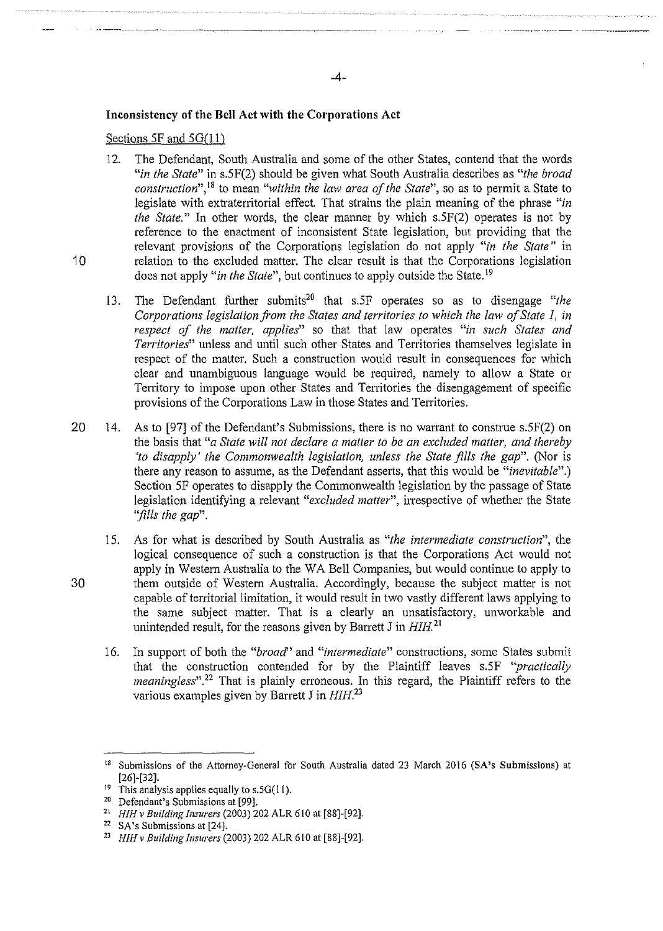## **Inconsistency of the Bell Act with the Corporations Act**

## Sections 5F and 5G(11)

- 12. The Defendant, South Australia and some of the other States, contend that the words *"in the State"* in s.SF(2) should be given what South Australia describes as *"the broad construction",* 18 to mean *"within the law area of the State",* so as to permit a State to legislate with extraterritorial effect. That strains the plain meaning of the phrase *"in the State."* In other words, the clear manner by which s.SF(2) operates is not by reference to the enactment of inconsistent State legislation, but providing that the relevant provisions of the Corporations legislation do not apply *"in the State"* in 10 relation to the excluded matter. The clear result is that the Corporations legislation does not apply *"in the State",* but continues to apply outside the State. <sup>19</sup>
	- 13. The Defendant further submits<sup>20</sup> that s.5F operates so as to disengage "the *Corporations legislation from the States and territories to which the law of State 1, in respect of the matter, applies"* so that that law operates *"in such States and Territories"* unless and until such other States and Territories themselves legislate in respect of the matter. Such a construction would result in consequences for which clear and unambiguous language would be required, namely to allow a State or Territory to impose upon other States and Territories the disengagement of specific provisions of the Corporations Law in those States and Territories.
- 20 14. As to [97] of the Defendant's Submissions, there is no warrant to construe s.5F(2) on the basis that *"a State will not declare a matter to be an excluded matter, and thereby 'to disapply' the Commonwealth legislation, unless the State fills the gap*". (Nor is there any reason to assume, as the Defendant asserts, that this would be *"inevitable".)*  Section SF operates to disapply the Commonwealth legislation by the passage of State legislation identifying a relevant "*excluded matter*", irrespective of whether the State *''fills the gap".*
- 1S. As for what is described by South Australia as *"the intermediate construction",* the logical consequence of such a construction is that the Corporations Act would not apply in Western Australia to the WA Bell Companies, but would continue to apply to 30 them outside of Western Australia. Accordingly, because the subject matter is not capable of territorial limitation, it would result in two vastly different laws applying to the same subject matter. That is a clearly an unsatisfactory, unworkable and unintended result, for the reasons given by Barrett J in  $HH^{21}$ .
	- 16. In support of both the "*broad*" and "*intermediate*" constructions, some States submit that the construction contended for by the Plaintiff leaves s.SF *"practically meaningless*".<sup>22</sup> That is plainly erroneous. In this regard, the Plaintiff refers to the various examples given by Barrett J in  $H/H^{23}$

<sup>&</sup>lt;sup>18</sup> Submissions of the Attorney-General for South Australia dated 23 March 2016 (SA's Submissions) at [26]-[32]. This analysis applies equally to  $s.5G(11)$ .

<sup>&</sup>lt;sup>19</sup> This analysis applies equally to s.5G(11).<br><sup>20</sup> Defendant's Submissions at [99].<br><sup>21</sup> *HIH v Building Insurers* (2003) 202 ALR 610 at [88]-[92].<br><sup>22</sup> SA's Submissions at [24].

<sup>23</sup> *HIH v Building Insurers* (2003) 202 ALR 610 at [88]-[92].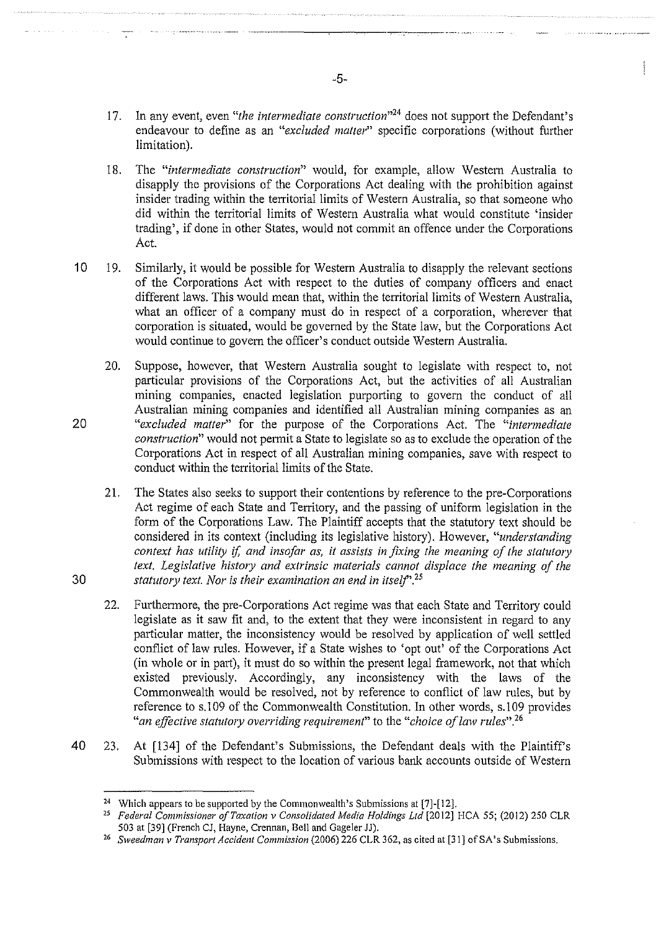- 17. In any event, even *"the intermediate construction"<sup>24</sup>*does not support the Defendant's endeavour to define as an *"excluded matter"* specific corporations (without further limitation).
- 18. The *"intermediate construction"* would, for example, allow Western Australia to disapply the provisions of the Corporations Act dealing with the prohibition against insider trading within the territorial limits of Western Australia, so that someone who did within the territorial limits of Western Australia what would constitute 'insider trading', if done in other States, would not commit an offence under the Corporations Act.
- 10 19. Similarly, it would be possible for Western Australia to disapply the relevant sections of the Corporations Act with respect to the duties of company officers and enact different laws. This would mean that, within the territorial limits of Western Australia, what an officer of a company must do in respect of a corporation, wherever that corporation is situated, would be governed by the State law, but the Corporations Act would continue to govern the officer's conduct outside Western Australia.
- 20. Suppose, however, that Western Australia sought to legislate with respect to, not particular provisions of the Corporations Act, but the activities of all Australian mining companies, enacted legislation purporting to govern the conduct of all Australian mining companies and identified all Australian mining companies as an 20 *"excluded matter"* for the purpose of the Corporations Act. The *"intermediate construction"* would not permit a State to legislate so as to exclude the operation of the Corporations Act in respect of all Australian mining companies, save with respect to conduct within the territorial limits of the State.
- 21. The States also seeks to support their contentions by reference to the pre-Corporations Act regime of each State and Territory, and the passing of uniform legislation in the form of the Corporations Law. The Plaintiff accepts that the statutory text should be considered in its context (including its legislative history). However, *"understanding context has utility if, and insofar as, it assists in fixing the meaning of the statutory text. Legislative history and extrinsic materials cannot displace the meaning of the*  30 *statutory text. Nor is their examination an end in itse/f'?<sup>5</sup>*
	- 22. Furthermore, the pre-Corporations Act regime was that each State and Territory could legislate as it saw fit and, to the extent that they were inconsistent in regard to any particular matter, the inconsistency would be resolved by application of well settled conflict of law rules. However, if a State wishes to 'opt out' of the Corporations Act (in whole or in part), it must do so within the present legal framework, not that which existed previously. Accordingly, any inconsistency with the laws of the Commonwealth would be resolved, not by reference to conflict of law rules, but by reference to s.l 09 of the Commonwealth Constitution. In other words, s.l 09 provides *"an effective statutory overriding requirement"* to the *"choice of law rules"*<sup>26</sup>
- 40 23. At [134] of the Defendant's Submissions, the Defendant deals with the Plaintiff's Submissions with respect to the location of various bank accounts outside of Western

-5-

<sup>&</sup>lt;sup>24</sup> Which appears to be supported by the Commonwealth's Submissions at  $[7]$ - $[12]$ .

<sup>25</sup>*Federal Commissioner of Taxation v Consolidated Media Holdings Ltd* (2012] HCA 55; (2012) 250 CLR 503 at [39] (French CJ, Hayne, Crennan, Bell and Gageler JJ).

<sup>26</sup> *Sweedman v Transport Accident Commission* (2006) 226 CLR 362, as cited at [31] of SA's Submissions.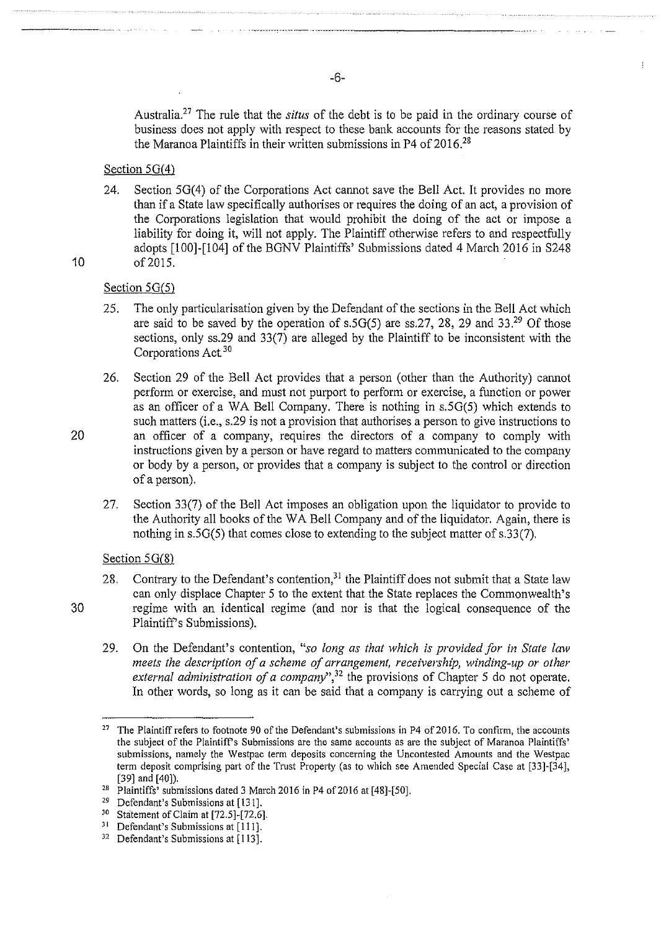Australia.27 The rule that the *situs* of the debt is to be paid in the ordinary course of business does not apply with respect to these bank accounts for the reasons stated by the Maranoa Plaintiffs in their written submissions in P4 of  $2016^{28}$ 

 $\mathbf{I}$ 

#### Section  $5G(4)$

24. Section  $5G(4)$  of the Corporations Act cannot save the Bell Act. It provides no more than if a State law specifically authorises or requires the doing of an act, a provision of the Corporations legislation that would prohibit the doing of the act or impose a liability for doing it, will not apply. The Plaintiff otherwise refers to and respectfully adopts [100]-[104] of the BONY Plaintiffs' Submissions dated 4 March 2016 in S248 10 of2015.

# Section  $5G(5)$

- 25. The only particularisation given by the Defendant of the sections in the Bell Act which are said to be saved by the operation of s.5 $G(5)$  are ss.27, 28, 29 and 33.<sup>29</sup> Of those sections, only ss.29 and 33(7) are alleged by the Plaintiff to be inconsistent with the Corporations Act 30
- 26. Section 29 of the Bell Act provides that a person (other than the Authority) carmot perform or exercise, and must not purport to perform or exercise, a function or power as an officer of a WA Bell Company. There is nothing in s.50(5) which extends to such matters (i.e., s.29 is not a provision that authorises a person to give instructions to 20 an officer of a company, requires the directors of a company to comply with instructions given by a person or have regard to matters communicated to the company or body by a person, or provides that a company is subject to the control or direction of a person).
	- 27. Section 33(7) of the Bell Act imposes an obligation upon the liquidator to provide to the Authority all books of the WA Bell Company and of the liquidator. Again, there is nothing in s.5G(5) that comes close to extending to the subject matter of s.33(7).

# Section  $5<sub>G</sub>(8)$

- 28. Contrary to the Defendant's contention,<sup>31</sup> the Plaintiff does not submit that a State law can only displace Chapter 5 to the extent that the State replaces the Commonwealth's 30 regime with an identical regime (and nor is that the logical consequence of the Plaintiff's Submissions).
	- 29. On the Defendant's contention, *"so long as that which is provided for in State law meets the description of a scheme of arrangement, receivership, winding-up or other external administration of a company",32* the provisions of Chapter 5 do not operate. In other words, so long as it can be said that a company is carrying out a scheme of

-6-

<sup>&</sup>lt;sup>27</sup> The Plaintiff refers to footnote 90 of the Defendant's submissions in P4 of 2016. To confirm, the accounts the subject of the Plaintiff's Submissions are the same accounts as are the subject of Maranoa Plaintiffs' **submissions, namely the Westpac term deposits concerning the Uncontested Amounts and the Westpac**  term deposit comprising part of the Trust Property (as to which see Amended Special Case at [33]-[34], [39] and [40]).<br><sup>28</sup> Plaintiffs' submissions dated 3 March 2016 in P4 of 2016 at [48]-[50].<br><sup>29</sup> Defendant's Submissions at [131].

<sup>&</sup>lt;sup>30</sup> Statement of Claim at [72.5]-[72.6].<br><sup>31</sup> Defendant's Submissions at [111].<br><sup>32</sup> Defendant's Submissions at [113].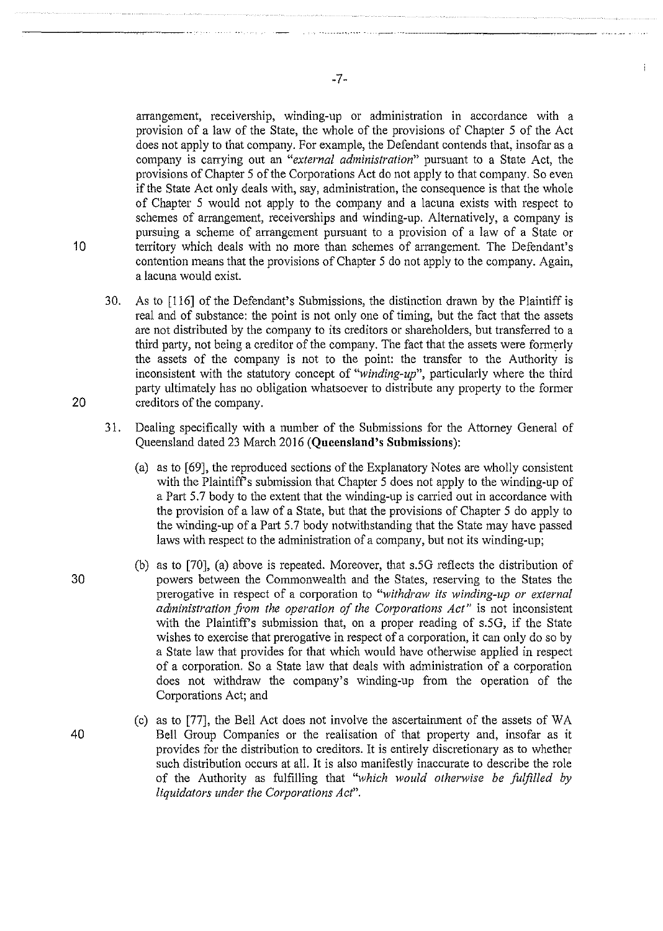arrangement, receivership, winding-up or administration in accordance with a provision of a law of the State, the whole of the provisions of Chapter 5 of the Act does not apply to that company. For example, the Defendant contends that, insofar as a company is carrying out an *"external administration"* pursuant to a State Act, the provisions of Chapter 5 of the Corporations Act do not apply to that company. So even if the State Act only deals with, say, administration, the consequence is that the whole of Chapter 5 would not apply to the company and a lacuna exists with respect to schemes of arrangement, receiverships and winding-up. Alternatively, a company is pursuing a scheme of arrangement pursuant to a provision of a law of a State or 10 territory which deals with no more than schemes of arrangement. The Defendant's contention means that the provisions of Chapter 5 do not apply to the company. Again, a lacuna would exist.

- 30. As to [116] of the Defendant's Submissions, the distinction drawn by the Plaintiff is real and of substance: the point is not only one of timing, but the fact that the assets are not distributed by the company to its creditors or shareholders, but transferred to a third patty, not being a creditor of the company. The fact that the assets were formerly the assets of the company is not to the point: the transfer to the Authority is inconsistent with the statutory concept of *"winding-up",* particularly where the third party ultimately has no obligation whatsoever to distribute any property to the former 20 creditors of the company.
	- 31. Dealing specifically with a number of the Submissions for the Attorney General of Queensland dated 23 March 2016 **(Queensland's Submissions):** 
		- (a) as to [69], the reproduced sections of the Explanatory Notes are wholly consistent with the Plaintiff's submission that Chapter 5 does not apply to the winding-up of a Part 5.7 body to the extent that the winding-up is carried out in accordance with the provision of a law of a State, but that the provisions of Chapter 5 do apply to the winding-up of a Patt 5.7 body notwithstanding that the State may have passed laws with respect to the administration of a company, but not its winding-up;
- (b) as to [70], (a) above is repeated. Moreover, that s.5G reflects the distribution of 30 powers between the Commonwealth and the States, reserving to the States the prerogative in respect of a corporation to *"withdraw its winding-up or external administration from the operation of the Corporations Act"* is not inconsistent with the Plaintiff's submission that, on a proper reading of s.SG, if the State wishes to exercise that prerogative in respect of a corporation, it can only do so by a State law that provides for that which would have otherwise applied in respect of a corporation. So a State law that deals with administration of a corporation does not withdraw the company's winding-up from the operation of the Corporations Act; and
- (c) as to [77], the Bell Act does not involve the ascertainment of the assets of WA 40 Bell Group Companies or the realisation of that property and, insofar as it provides for the distribution to creditors. It is entirely discretionary as to whether such distribution occurs at all. It is also manifestly inaccurate to describe the role of the Authority as fulfilling that *"which would otherwise be fulfilled by liquidators under the Corporations Act".*

ŧ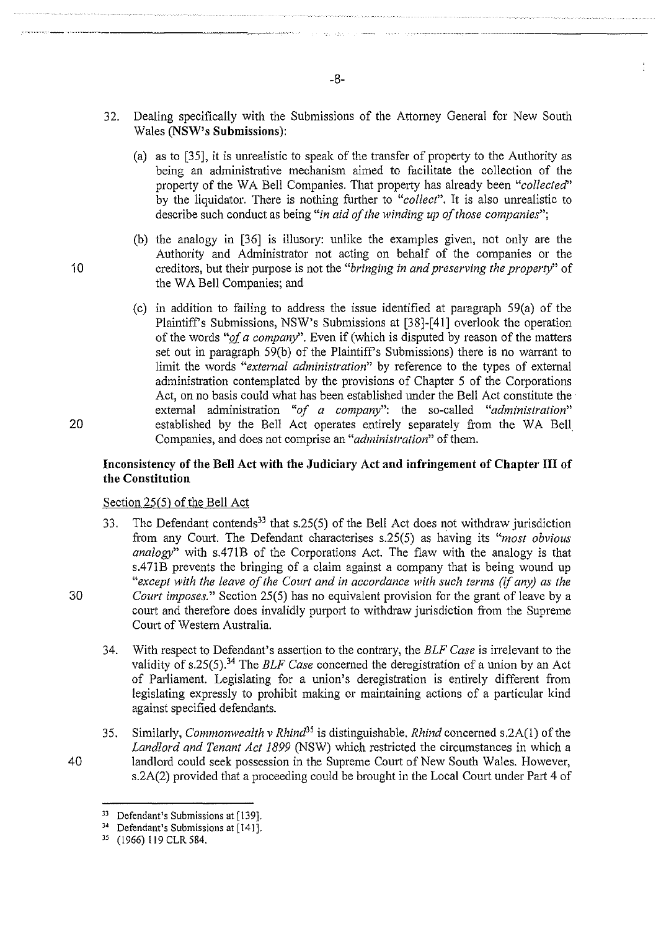- 32. Dealing specifically with the Submissions of the Attorney General for New South Wales **(NSW's Submissions):** 
	- (a) as to [35], it is unrealistic to speak of the transfer of propetty to the Authority as being an administrative mechanism aimed to facilitate the collection of the property of the WA Bell Companies. That property has already been *"collected"* by the liquidator. There is nothing further to *"collect".* It is also unrealistic to describe such conduct as being *"in aid of the winding up of those companies";*
- (b) the analogy in [36] is illusory: unlike the examples given, not only are the Authority and Administrator not acting on behalf of the companies or the 10 creditors, but their purpose is not the *"bringing in and preserving the property"* of the WA Bell Companies; and
- (c) in addition to failing to address the issue identified at paragraph  $59(a)$  of the Plaintiff's Submissions, NSW's Submissions at [38]-[41] overlook the operation of the words *"gf a company".* Even if (which is disputed by reason of the matters set out in paragraph 59(b) of the Plaintiff's Submissions) there is no warrant to limit the words *"external administration"* by reference to the types of external administration contemplated by the provisions of Chapter 5 of the Corporations Act, on no basis could what has been established under the Bell Act constitute the external administration *"of a company":* the so-called *"administration"*  20 established by the Bell Act operates entirely separately from the WA Bell Companies, and does not comprise an *"administration"* of them.

# Inconsistency of the Bell Act with the Judiciary Act and infringement of Chapter III of **the Constitution**

## Section 25(5) of the Bell Act

- 33. The Defendant contends<sup>33</sup> that s.25(5) of the Bell Act does not withdraw jurisdiction from any Court. The Defendant characterises s.25(5) as having its *"most obvious analogy"* with s.471B of the Corporations Act. The flaw with the analogy is that s.471B prevents the bringing of a claim against a company that is being wound up *"except with the leave of the Court and in accordance with such terms (if any) as the*  30 *Court imposes."* Section 25(5) has no equivalent provision for the grant of leave by a court and therefore does invalidly purport to withdraw jurisdiction from the Supreme Court of Western Australia.
	- 34. With respect to Defendant's assertion to the contrary, the *ELF Case* is irrelevant to the validity of s.25(5).<sup>34</sup> The *BLF Case* concerned the deregistration of a union by an Act of Parliament. Legislating for a union's deregistration is entirely different from legislating expressly to prohibit making or maintaining actions of a particular kind against specified defendants.
- 35. Similarly, *Commonwealth v Rhind35* is distinguishable. *Rhind* concemed s.2A(l) of the *Landlord and Tenant Act 1899* (NSW) which restricted the circumstances in which a 40 landlord could seek possession in the Supreme Comt of New South Wales. However, s.2A(2) provided that a proceeding could be brought in the Local Court under Part 4 of

·····~------------- --------------~

- 
- 

<sup>&</sup>lt;sup>33</sup> Defendant's Submissions at [139].<br><sup>34</sup> Defendant's Submissions at [141].

<sup>35 (1966) 119</sup> CLR 584.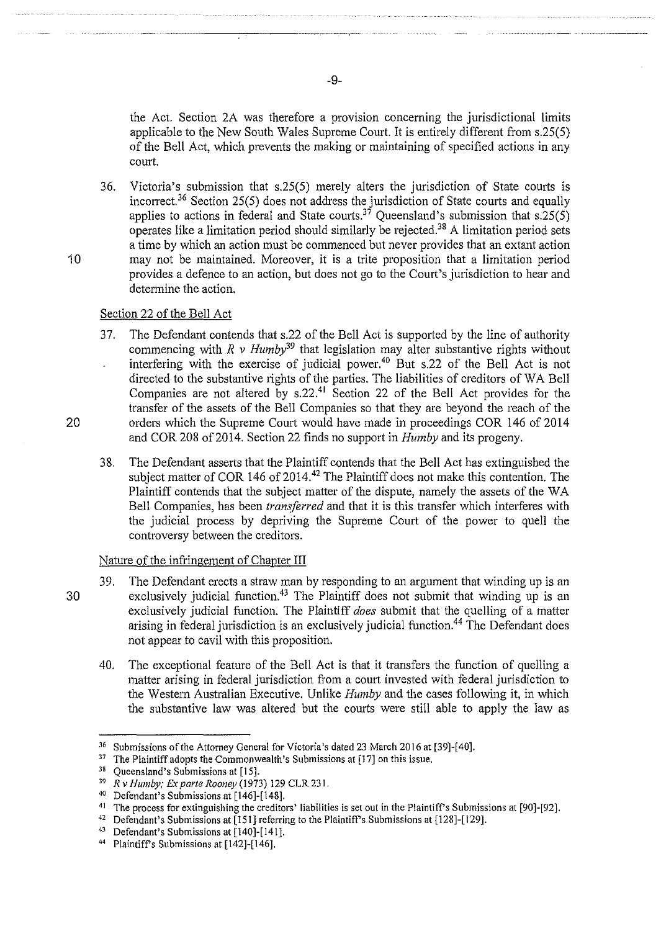the Act. Section 2A was therefore a provision concerning the jurisdictional limits applicable to the New South Wales Supreme Court. It is entirely different from s.25(5) of the Bell Act, which prevents the making or maintaining of specified actions in any court.

36. Victoria's submission that s.25(5) merely alters the jurisdiction of State courts is incorrect.<sup>36</sup> Section 25(5) does not address the jurisdiction of State courts and equally applies to actions in federal and State courts.<sup>37</sup> Queensland's submission that s.25(5) operates like a limitation period should similarly be rejected.<sup>38</sup> A limitation period sets a time by which an action must be commenced but never provides that an extant action 10 may not be maintained. Moreover, it is a trite proposition that a limitation period provides a defence to an action, but does not go to the Court's jurisdiction to hear and determine the action.

#### Section 22 of the Bell Act

- 37. The Defendant contends that s.22 of the Bell Act is supported by the line of authority commencing with  $R \nu$  Humby<sup>39</sup> that legislation may alter substantive rights without interfering with the exercise of judicial power.<sup>40</sup> But s.22 of the Bell Act is not directed to the substantive rights of the parties. The liabilities of creditors of WA Bell Companies are not altered by  $s.22$ .<sup>41</sup> Section 22 of the Bell Act provides for the transfer of the assets of the Bell Companies so that they are beyond the reach of the 20 orders which the Supreme Court would have made in proceedings COR 146 of 2014 and COR 208 of 2014. Section 22 finds no support in *Humby* and its progeny.
	- 38. The Defendant asserts that the Plaintiff contends that the Bell Act has extinguished the subject matter of COR 146 of 2014.<sup>42</sup> The Plaintiff does not make this contention. The Plaintiff contends that the subject matter of the dispute, namely the assets of the WA Bell Companies, has been *transferred* and that it is this transfer which interferes with the judicial process by depriving the Supreme Court of the power to quell the controversy between the creditors.

# Nature of the infringement of Chapter Ill

- 39. The Defendant erects a straw man by responding to an argument that winding up is an 30 exclusively judicial function.<sup>43</sup> The Plaintiff does not submit that winding up is an exclusively judicial function. The Plaintiff *does* submit that the quelling of a matter arising in federal jurisdiction is an exclusively judicial function. 44 The Defendant does not appear to cavil with this proposition.
	- 40. The exceptional feature of the Bell Act is that it transfers the function of quelling a matter arising in federal jurisdiction from a court invested with federal jurisdiction to the Western Australian Executive. Unlike *Humby* and the cases following it, in which the substantive law was altered but the courts were still able to apply the law as

-9-

<sup>&</sup>lt;sup>36</sup> Submissions of the Attorney General for Victoria's dated 23 March 2016 at [39]-[40].<br><sup>37</sup> The Plaintiff adopts the Commonwealth's Submissions at [17] on this issue.<br><sup>38</sup> Queensland's Submissions at [15].<br><sup>39</sup> R v Hum

<sup>&</sup>lt;sup>41</sup> The process for extinguishing the creditors' liabilities is set out in the Plaintiff's Submissions at [90]-[92].<br><sup>42</sup> Defendant's Submissions at [151] referring to the Plaintiff's Submissions at [128]-[129].

<sup>&</sup>lt;sup>43</sup> Defendant's Submissions at  $[140]-[141]$ .<br><sup>44</sup> Plaintiff's Submissions at  $[142]-[146]$ .